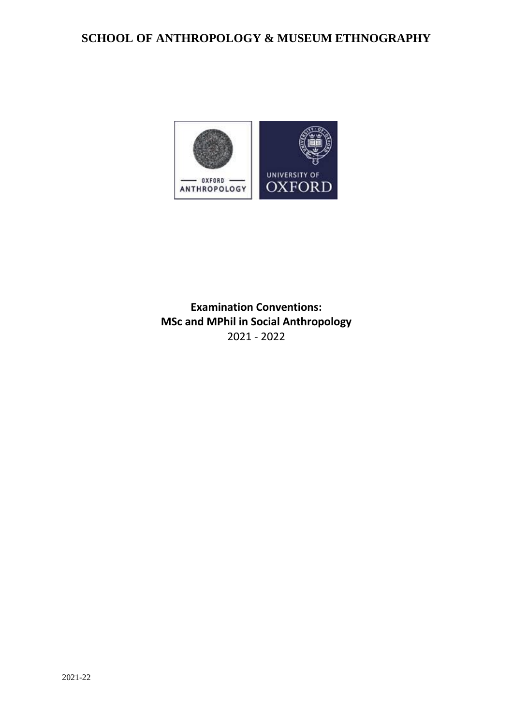# **SCHOOL OF ANTHROPOLOGY & MUSEUM ETHNOGRAPHY**



**Examination Conventions: MSc and MPhil in Social Anthropology** 2021 - 2022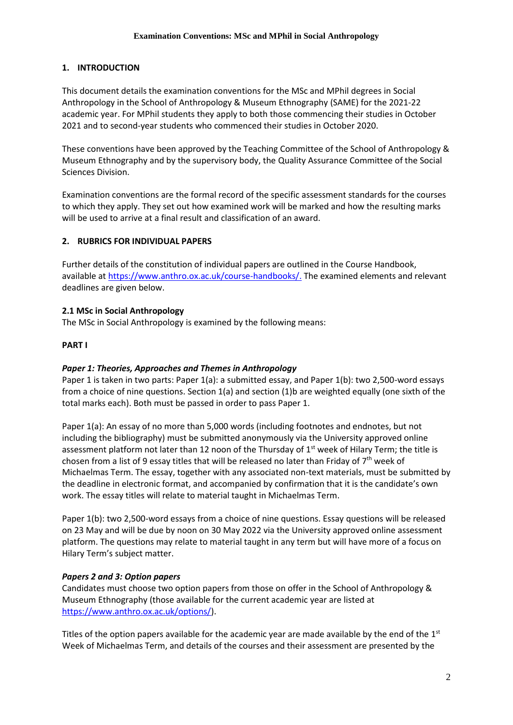# **1. INTRODUCTION**

This document details the examination conventions for the MSc and MPhil degrees in Social Anthropology in the School of Anthropology & Museum Ethnography (SAME) for the 2021-22 academic year. For MPhil students they apply to both those commencing their studies in October 2021 and to second-year students who commenced their studies in October 2020.

These conventions have been approved by the Teaching Committee of the School of Anthropology & Museum Ethnography and by the supervisory body, the Quality Assurance Committee of the Social Sciences Division.

Examination conventions are the formal record of the specific assessment standards for the courses to which they apply. They set out how examined work will be marked and how the resulting marks will be used to arrive at a final result and classification of an award.

# **2. RUBRICS FOR INDIVIDUAL PAPERS**

Further details of the constitution of individual papers are outlined in the Course Handbook, available a[t https://www.anthro.ox.ac.uk/course-handbooks/.](https://www.anthro.ox.ac.uk/course-handbooks) The examined elements and relevant deadlines are given below.

# **2.1 MSc in Social Anthropology**

The MSc in Social Anthropology is examined by the following means:

## **PART I**

## *Paper 1: Theories, Approaches and Themes in Anthropology*

Paper 1 is taken in two parts: Paper 1(a): a submitted essay, and Paper 1(b): two 2,500-word essays from a choice of nine questions. Section 1(a) and section (1)b are weighted equally (one sixth of the total marks each). Both must be passed in order to pass Paper 1.

Paper 1(a): An essay of no more than 5,000 words (including footnotes and endnotes, but not including the bibliography) must be submitted anonymously via the University approved online assessment platform not later than 12 noon of the Thursday of  $1<sup>st</sup>$  week of Hilary Term; the title is chosen from a list of 9 essay titles that will be released no later than Friday of 7<sup>th</sup> week of Michaelmas Term. The essay, together with any associated non-text materials, must be submitted by the deadline in electronic format, and accompanied by confirmation that it is the candidate's own work. The essay titles will relate to material taught in Michaelmas Term.

Paper 1(b): two 2,500-word essays from a choice of nine questions. Essay questions will be released on 23 May and will be due by noon on 30 May 2022 via the University approved online assessment platform. The questions may relate to material taught in any term but will have more of a focus on Hilary Term's subject matter.

## *Papers 2 and 3: Option papers*

Candidates must choose two option papers from those on offer in the School of Anthropology & Museum Ethnography (those available for the current academic year are listed at [https://www.anthro.ox.ac.uk/options/\)](https://www.anthro.ox.ac.uk/options/).

Titles of the option papers available for the academic year are made available by the end of the  $1<sup>st</sup>$ Week of Michaelmas Term, and details of the courses and their assessment are presented by the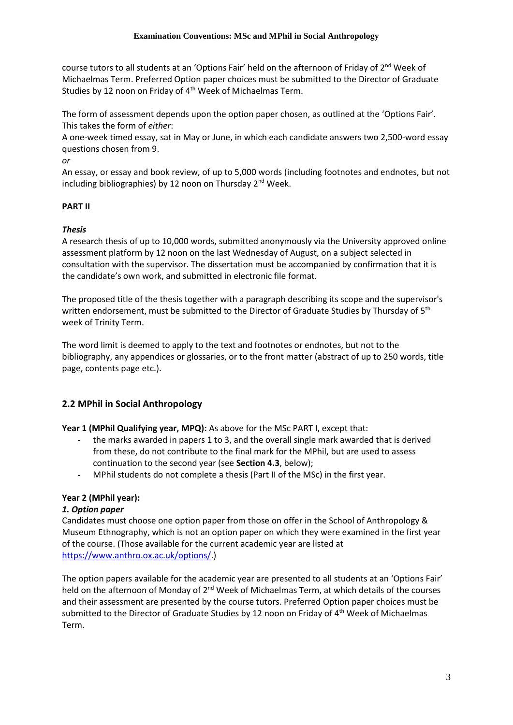course tutors to all students at an 'Options Fair' held on the afternoon of Friday of 2<sup>nd</sup> Week of Michaelmas Term. Preferred Option paper choices must be submitted to the Director of Graduate Studies by 12 noon on Friday of 4<sup>th</sup> Week of Michaelmas Term.

The form of assessment depends upon the option paper chosen, as outlined at the 'Options Fair'. This takes the form of *either*:

A one-week timed essay, sat in May or June, in which each candidate answers two 2,500-word essay questions chosen from 9.

*or*

An essay, or essay and book review, of up to 5,000 words (including footnotes and endnotes, but not including bibliographies) by 12 noon on Thursday  $2^{nd}$  Week.

# **PART II**

# *Thesis*

A research thesis of up to 10,000 words, submitted anonymously via the University approved online assessment platform by 12 noon on the last Wednesday of August, on a subject selected in consultation with the supervisor. The dissertation must be accompanied by confirmation that it is the candidate's own work, and submitted in electronic file format.

The proposed title of the thesis together with a paragraph describing its scope and the supervisor's written endorsement, must be submitted to the Director of Graduate Studies by Thursday of 5<sup>th</sup> week of Trinity Term.

The word limit is deemed to apply to the text and footnotes or endnotes, but not to the bibliography, any appendices or glossaries, or to the front matter (abstract of up to 250 words, title page, contents page etc.).

# **2.2 MPhil in Social Anthropology**

**Year 1 (MPhil Qualifying year, MPQ):** As above for the MSc PART I, except that:

- the marks awarded in papers 1 to 3, and the overall single mark awarded that is derived from these, do not contribute to the final mark for the MPhil, but are used to assess continuation to the second year (see **Section 4.3**, below);
- MPhil students do not complete a thesis (Part II of the MSc) in the first year.

# **Year 2 (MPhil year):**

## *1. Option paper*

Candidates must choose one option paper from those on offer in the School of Anthropology & Museum Ethnography, which is not an option paper on which they were examined in the first year of the course. (Those available for the current academic year are listed at [https://www.anthro.ox.ac.uk/options/.](https://www.anthro.ox.ac.uk/options/))

The option papers available for the academic year are presented to all students at an 'Options Fair' held on the afternoon of Monday of 2<sup>nd</sup> Week of Michaelmas Term, at which details of the courses and their assessment are presented by the course tutors. Preferred Option paper choices must be submitted to the Director of Graduate Studies by 12 noon on Friday of 4<sup>th</sup> Week of Michaelmas Term.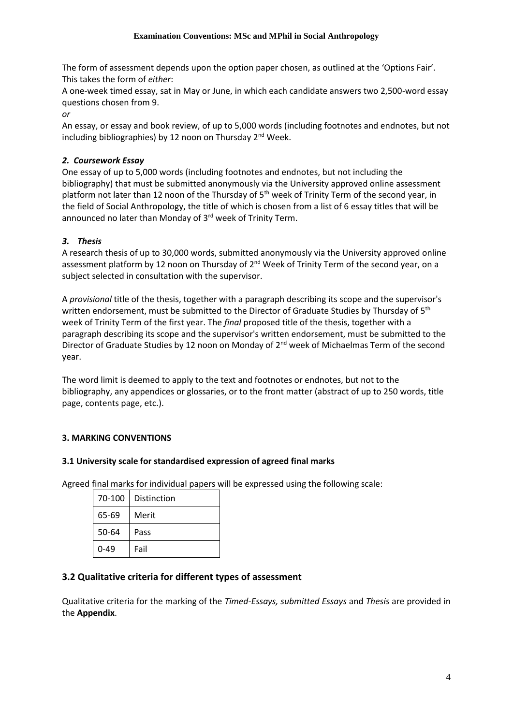The form of assessment depends upon the option paper chosen, as outlined at the 'Options Fair'. This takes the form of *either*:

A one-week timed essay, sat in May or June, in which each candidate answers two 2,500-word essay questions chosen from 9.

*or*

An essay, or essay and book review, of up to 5,000 words (including footnotes and endnotes, but not including bibliographies) by 12 noon on Thursday 2<sup>nd</sup> Week.

# *2. Coursework Essay*

One essay of up to 5,000 words (including footnotes and endnotes, but not including the bibliography) that must be submitted anonymously via the University approved online assessment platform not later than 12 noon of the Thursday of  $5<sup>th</sup>$  week of Trinity Term of the second year, in the field of Social Anthropology, the title of which is chosen from a list of 6 essay titles that will be announced no later than Monday of 3<sup>rd</sup> week of Trinity Term.

# *3. Thesis*

A research thesis of up to 30,000 words, submitted anonymously via the University approved online assessment platform by 12 noon on Thursday of 2<sup>nd</sup> Week of Trinity Term of the second year, on a subject selected in consultation with the supervisor.

A *provisional* title of the thesis, together with a paragraph describing its scope and the supervisor's written endorsement, must be submitted to the Director of Graduate Studies by Thursday of 5<sup>th</sup> week of Trinity Term of the first year. The *final* proposed title of the thesis, together with a paragraph describing its scope and the supervisor's written endorsement, must be submitted to the Director of Graduate Studies by 12 noon on Monday of 2<sup>nd</sup> week of Michaelmas Term of the second year.

The word limit is deemed to apply to the text and footnotes or endnotes, but not to the bibliography, any appendices or glossaries, or to the front matter (abstract of up to 250 words, title page, contents page, etc.).

# **3. MARKING CONVENTIONS**

## **3.1 University scale for standardised expression of agreed final marks**

Agreed final marks for individual papers will be expressed using the following scale:

| 70-100   | Distinction |
|----------|-------------|
| 65-69    | Merit       |
| 50-64    | Pass        |
| $0 - 49$ | Fail        |

## **3.2 Qualitative criteria for different types of assessment**

Qualitative criteria for the marking of the *Timed-Essays, submitted Essays* and *Thesis* are provided in the **Appendix**.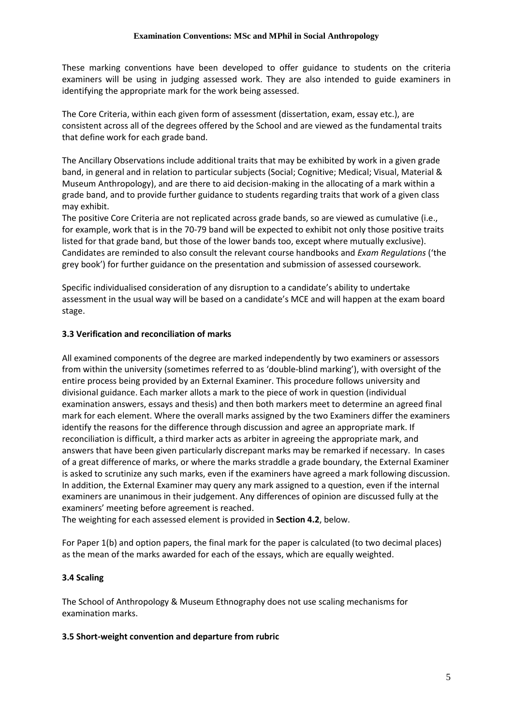These marking conventions have been developed to offer guidance to students on the criteria examiners will be using in judging assessed work. They are also intended to guide examiners in identifying the appropriate mark for the work being assessed.

The Core Criteria, within each given form of assessment (dissertation, exam, essay etc.), are consistent across all of the degrees offered by the School and are viewed as the fundamental traits that define work for each grade band.

The Ancillary Observations include additional traits that may be exhibited by work in a given grade band, in general and in relation to particular subjects (Social; Cognitive; Medical; Visual, Material & Museum Anthropology), and are there to aid decision-making in the allocating of a mark within a grade band, and to provide further guidance to students regarding traits that work of a given class may exhibit.

The positive Core Criteria are not replicated across grade bands, so are viewed as cumulative (i.e., for example, work that is in the 70-79 band will be expected to exhibit not only those positive traits listed for that grade band, but those of the lower bands too, except where mutually exclusive). Candidates are reminded to also consult the relevant course handbooks and *Exam Regulations* ('the grey book') for further guidance on the presentation and submission of assessed coursework.

Specific individualised consideration of any disruption to a candidate's ability to undertake assessment in the usual way will be based on a candidate's MCE and will happen at the exam board stage.

## **3.3 Verification and reconciliation of marks**

All examined components of the degree are marked independently by two examiners or assessors from within the university (sometimes referred to as 'double-blind marking'), with oversight of the entire process being provided by an External Examiner. This procedure follows university and divisional guidance. Each marker allots a mark to the piece of work in question (individual examination answers, essays and thesis) and then both markers meet to determine an agreed final mark for each element. Where the overall marks assigned by the two Examiners differ the examiners identify the reasons for the difference through discussion and agree an appropriate mark. If reconciliation is difficult, a third marker acts as arbiter in agreeing the appropriate mark, and answers that have been given particularly discrepant marks may be remarked if necessary. In cases of a great difference of marks, or where the marks straddle a grade boundary, the External Examiner is asked to scrutinize any such marks, even if the examiners have agreed a mark following discussion. In addition, the External Examiner may query any mark assigned to a question, even if the internal examiners are unanimous in their judgement. Any differences of opinion are discussed fully at the examiners' meeting before agreement is reached.

The weighting for each assessed element is provided in **Section 4.2**, below.

For Paper 1(b) and option papers, the final mark for the paper is calculated (to two decimal places) as the mean of the marks awarded for each of the essays, which are equally weighted.

## **3.4 Scaling**

The School of Anthropology & Museum Ethnography does not use scaling mechanisms for examination marks.

#### **3.5 Short-weight convention and departure from rubric**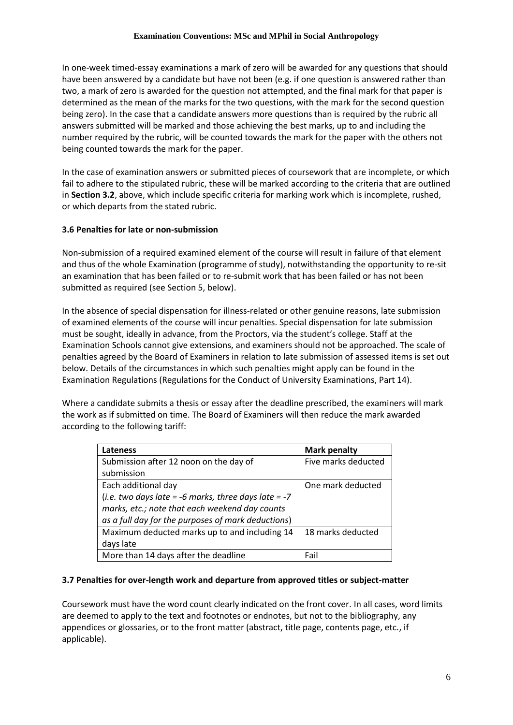In one-week timed-essay examinations a mark of zero will be awarded for any questions that should have been answered by a candidate but have not been (e.g. if one question is answered rather than two, a mark of zero is awarded for the question not attempted, and the final mark for that paper is determined as the mean of the marks for the two questions, with the mark for the second question being zero). In the case that a candidate answers more questions than is required by the rubric all answers submitted will be marked and those achieving the best marks, up to and including the number required by the rubric, will be counted towards the mark for the paper with the others not being counted towards the mark for the paper.

In the case of examination answers or submitted pieces of coursework that are incomplete, or which fail to adhere to the stipulated rubric, these will be marked according to the criteria that are outlined in **Section 3.2**, above, which include specific criteria for marking work which is incomplete, rushed, or which departs from the stated rubric.

# **3.6 Penalties for late or non-submission**

Non-submission of a required examined element of the course will result in failure of that element and thus of the whole Examination (programme of study), notwithstanding the opportunity to re-sit an examination that has been failed or to re-submit work that has been failed or has not been submitted as required (see Section 5, below).

In the absence of special dispensation for illness-related or other genuine reasons, late submission of examined elements of the course will incur penalties. Special dispensation for late submission must be sought, ideally in advance, from the Proctors, via the student's college. Staff at the Examination Schools cannot give extensions, and examiners should not be approached. The scale of penalties agreed by the Board of Examiners in relation to late submission of assessed items is set out below. Details of the circumstances in which such penalties might apply can be found in the Examination Regulations (Regulations for the Conduct of University Examinations, Part 14).

Where a candidate submits a thesis or essay after the deadline prescribed, the examiners will mark the work as if submitted on time. The Board of Examiners will then reduce the mark awarded according to the following tariff:

| <b>Lateness</b>                                        | <b>Mark penalty</b> |
|--------------------------------------------------------|---------------------|
| Submission after 12 noon on the day of                 | Five marks deducted |
| submission                                             |                     |
| Each additional day                                    | One mark deducted   |
| (i.e. two days late = -6 marks, three days late = $-7$ |                     |
| marks, etc.; note that each weekend day counts         |                     |
| as a full day for the purposes of mark deductions)     |                     |
| Maximum deducted marks up to and including 14          | 18 marks deducted   |
| days late                                              |                     |
| More than 14 days after the deadline                   | Fail                |

## **3.7 Penalties for over-length work and departure from approved titles or subject-matter**

Coursework must have the word count clearly indicated on the front cover. In all cases, word limits are deemed to apply to the text and footnotes or endnotes, but not to the bibliography, any appendices or glossaries, or to the front matter (abstract, title page, contents page, etc., if applicable).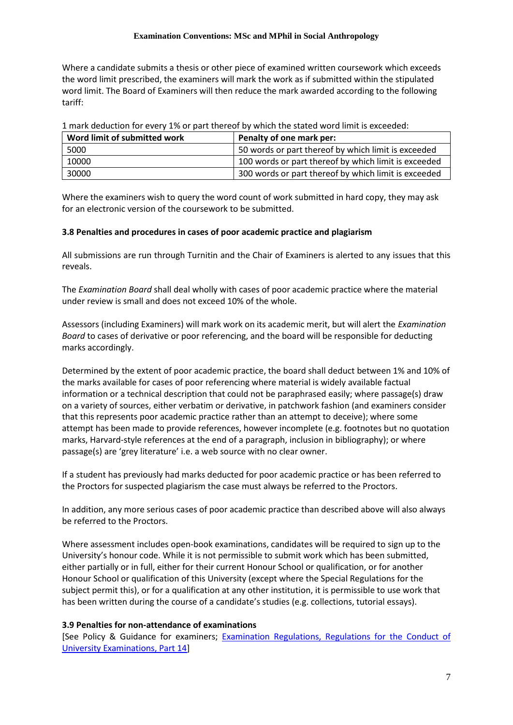Where a candidate submits a thesis or other piece of examined written coursework which exceeds the word limit prescribed, the examiners will mark the work as if submitted within the stipulated word limit. The Board of Examiners will then reduce the mark awarded according to the following tariff:

| Word limit of submitted work | Penalty of one mark per:                             |
|------------------------------|------------------------------------------------------|
| 5000                         | 50 words or part thereof by which limit is exceeded  |
| 10000                        | 100 words or part thereof by which limit is exceeded |
| 30000                        | 300 words or part thereof by which limit is exceeded |

1 mark deduction for every 1% or part thereof by which the stated word limit is exceeded:

Where the examiners wish to query the word count of work submitted in hard copy, they may ask for an electronic version of the coursework to be submitted.

#### **3.8 Penalties and procedures in cases of poor academic practice and plagiarism**

All submissions are run through Turnitin and the Chair of Examiners is alerted to any issues that this reveals.

The *Examination Board* shall deal wholly with cases of poor academic practice where the material under review is small and does not exceed 10% of the whole.

Assessors (including Examiners) will mark work on its academic merit, but will alert the *Examination Board* to cases of derivative or poor referencing, and the board will be responsible for deducting marks accordingly.

Determined by the extent of poor academic practice, the board shall deduct between 1% and 10% of the marks available for cases of poor referencing where material is widely available factual information or a technical description that could not be paraphrased easily; where passage(s) draw on a variety of sources, either verbatim or derivative, in patchwork fashion (and examiners consider that this represents poor academic practice rather than an attempt to deceive); where some attempt has been made to provide references, however incomplete (e.g. footnotes but no quotation marks, Harvard-style references at the end of a paragraph, inclusion in bibliography); or where passage(s) are 'grey literature' i.e. a web source with no clear owner.

If a student has previously had marks deducted for poor academic practice or has been referred to the Proctors for suspected plagiarism the case must always be referred to the Proctors.

In addition, any more serious cases of poor academic practice than described above will also always be referred to the Proctors.

Where assessment includes open-book examinations, candidates will be required to sign up to the University's honour code. While it is not permissible to submit work which has been submitted, either partially or in full, either for their current Honour School or qualification, or for another Honour School or qualification of this University (except where the Special Regulations for the subject permit this), or for a qualification at any other institution, it is permissible to use work that has been written during the course of a candidate's studies (e.g. collections, tutorial essays).

#### **3.9 Penalties for non-attendance of examinations**

[See Policy & Guidance for examiners; [Examination Regulations, Regulations for the Conduct of](http://www.admin.ox.ac.uk/examregs/2015-16/rftcoue-p14ls-n-snawfromexam/)  [University Examinations, Part 14\]](http://www.admin.ox.ac.uk/examregs/2015-16/rftcoue-p14ls-n-snawfromexam/)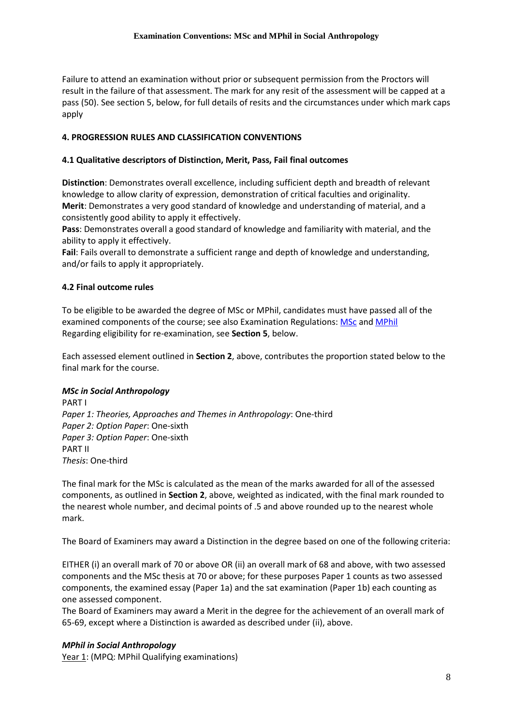Failure to attend an examination without prior or subsequent permission from the Proctors will result in the failure of that assessment. The mark for any resit of the assessment will be capped at a pass (50). See section 5, below, for full details of resits and the circumstances under which mark caps apply

#### **4. PROGRESSION RULES AND CLASSIFICATION CONVENTIONS**

#### **4.1 Qualitative descriptors of Distinction, Merit, Pass, Fail final outcomes**

**Distinction**: Demonstrates overall excellence, including sufficient depth and breadth of relevant knowledge to allow clarity of expression, demonstration of critical faculties and originality. **Merit**: Demonstrates a very good standard of knowledge and understanding of material, and a consistently good ability to apply it effectively.

**Pass**: Demonstrates overall a good standard of knowledge and familiarity with material, and the ability to apply it effectively.

**Fail**: Fails overall to demonstrate a sufficient range and depth of knowledge and understanding, and/or fails to apply it appropriately.

#### **4.2 Final outcome rules**

To be eligible to be awarded the degree of MSc or MPhil, candidates must have passed all of the examined components of the course; see also Examination Regulations: [MSc](https://examregs.admin.ox.ac.uk/Regulation?code=mosbcinsocianth&srchYear=2020&srchTerm=1&year=2019&term=1) and [MPhil](https://examregs.admin.ox.ac.uk/Regulation?code=mopinsocianth&srchYear=2020&srchTerm=1&year=2019&term=1) Regarding eligibility for re-examination, see **Section 5**, below.

Each assessed element outlined in **Section 2**, above, contributes the proportion stated below to the final mark for the course.

#### *MSc in Social Anthropology*

PART I *Paper 1: Theories, Approaches and Themes in Anthropology*: One-third *Paper 2: Option Paper*: One-sixth *Paper 3: Option Paper*: One-sixth PART II *Thesis*: One-third

The final mark for the MSc is calculated as the mean of the marks awarded for all of the assessed components, as outlined in **Section 2**, above, weighted as indicated, with the final mark rounded to the nearest whole number, and decimal points of .5 and above rounded up to the nearest whole mark.

The Board of Examiners may award a Distinction in the degree based on one of the following criteria:

EITHER (i) an overall mark of 70 or above OR (ii) an overall mark of 68 and above, with two assessed components and the MSc thesis at 70 or above; for these purposes Paper 1 counts as two assessed components, the examined essay (Paper 1a) and the sat examination (Paper 1b) each counting as one assessed component.

The Board of Examiners may award a Merit in the degree for the achievement of an overall mark of 65-69, except where a Distinction is awarded as described under (ii), above.

#### *MPhil in Social Anthropology*

Year 1: (MPQ: MPhil Qualifying examinations)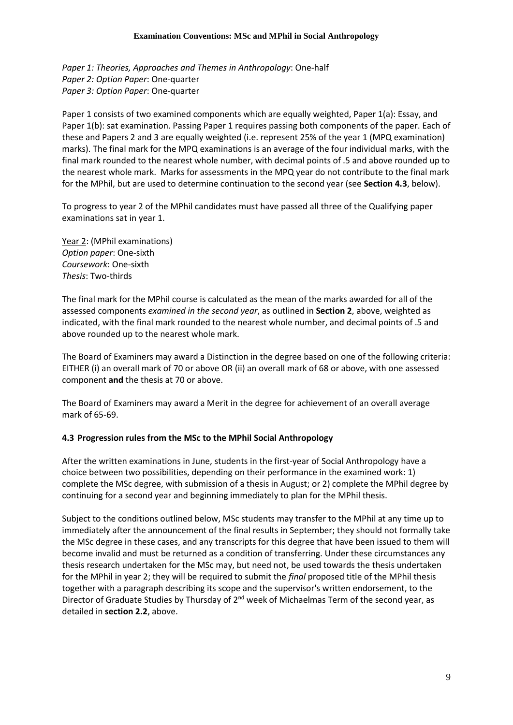*Paper 1: Theories, Approaches and Themes in Anthropology*: One-half *Paper 2: Option Paper*: One-quarter *Paper 3: Option Paper*: One-quarter

Paper 1 consists of two examined components which are equally weighted, Paper 1(a): Essay, and Paper 1(b): sat examination. Passing Paper 1 requires passing both components of the paper. Each of these and Papers 2 and 3 are equally weighted (i.e. represent 25% of the year 1 (MPQ examination) marks). The final mark for the MPQ examinations is an average of the four individual marks, with the final mark rounded to the nearest whole number, with decimal points of .5 and above rounded up to the nearest whole mark. Marks for assessments in the MPQ year do not contribute to the final mark for the MPhil, but are used to determine continuation to the second year (see **Section 4.3**, below).

To progress to year 2 of the MPhil candidates must have passed all three of the Qualifying paper examinations sat in year 1.

Year 2: (MPhil examinations) *Option paper*: One-sixth *Coursework*: One-sixth *Thesis*: Two-thirds

The final mark for the MPhil course is calculated as the mean of the marks awarded for all of the assessed components *examined in the second year*, as outlined in **Section 2**, above, weighted as indicated, with the final mark rounded to the nearest whole number, and decimal points of .5 and above rounded up to the nearest whole mark.

The Board of Examiners may award a Distinction in the degree based on one of the following criteria: EITHER (i) an overall mark of 70 or above OR (ii) an overall mark of 68 or above, with one assessed component **and** the thesis at 70 or above.

The Board of Examiners may award a Merit in the degree for achievement of an overall average mark of 65-69.

## **4.3 Progression rules from the MSc to the MPhil Social Anthropology**

After the written examinations in June, students in the first-year of Social Anthropology have a choice between two possibilities, depending on their performance in the examined work: 1) complete the MSc degree, with submission of a thesis in August; or 2) complete the MPhil degree by continuing for a second year and beginning immediately to plan for the MPhil thesis.

Subject to the conditions outlined below, MSc students may transfer to the MPhil at any time up to immediately after the announcement of the final results in September; they should not formally take the MSc degree in these cases, and any transcripts for this degree that have been issued to them will become invalid and must be returned as a condition of transferring. Under these circumstances any thesis research undertaken for the MSc may, but need not, be used towards the thesis undertaken for the MPhil in year 2; they will be required to submit the *final* proposed title of the MPhil thesis together with a paragraph describing its scope and the supervisor's written endorsement, to the Director of Graduate Studies by Thursday of 2<sup>nd</sup> week of Michaelmas Term of the second year, as detailed in **section 2.2**, above.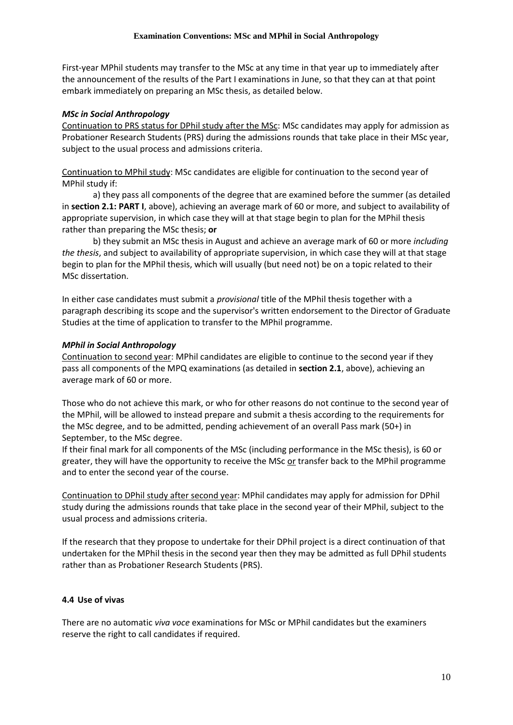First-year MPhil students may transfer to the MSc at any time in that year up to immediately after the announcement of the results of the Part I examinations in June, so that they can at that point embark immediately on preparing an MSc thesis, as detailed below.

#### *MSc in Social Anthropology*

Continuation to PRS status for DPhil study after the MSc: MSc candidates may apply for admission as Probationer Research Students (PRS) during the admissions rounds that take place in their MSc year, subject to the usual process and admissions criteria.

Continuation to MPhil study: MSc candidates are eligible for continuation to the second year of MPhil study if:

a) they pass all components of the degree that are examined before the summer (as detailed in **section 2.1: PART I**, above), achieving an average mark of 60 or more, and subject to availability of appropriate supervision, in which case they will at that stage begin to plan for the MPhil thesis rather than preparing the MSc thesis; **or**

b) they submit an MSc thesis in August and achieve an average mark of 60 or more *including the thesis*, and subject to availability of appropriate supervision, in which case they will at that stage begin to plan for the MPhil thesis, which will usually (but need not) be on a topic related to their MSc dissertation.

In either case candidates must submit a *provisional* title of the MPhil thesis together with a paragraph describing its scope and the supervisor's written endorsement to the Director of Graduate Studies at the time of application to transfer to the MPhil programme.

#### *MPhil in Social Anthropology*

Continuation to second year: MPhil candidates are eligible to continue to the second year if they pass all components of the MPQ examinations (as detailed in **section 2.1**, above), achieving an average mark of 60 or more.

Those who do not achieve this mark, or who for other reasons do not continue to the second year of the MPhil, will be allowed to instead prepare and submit a thesis according to the requirements for the MSc degree, and to be admitted, pending achievement of an overall Pass mark (50+) in September, to the MSc degree.

If their final mark for all components of the MSc (including performance in the MSc thesis), is 60 or greater, they will have the opportunity to receive the MSc or transfer back to the MPhil programme and to enter the second year of the course.

Continuation to DPhil study after second year: MPhil candidates may apply for admission for DPhil study during the admissions rounds that take place in the second year of their MPhil, subject to the usual process and admissions criteria.

If the research that they propose to undertake for their DPhil project is a direct continuation of that undertaken for the MPhil thesis in the second year then they may be admitted as full DPhil students rather than as Probationer Research Students (PRS).

#### **4.4 Use of vivas**

There are no automatic *viva voce* examinations for MSc or MPhil candidates but the examiners reserve the right to call candidates if required.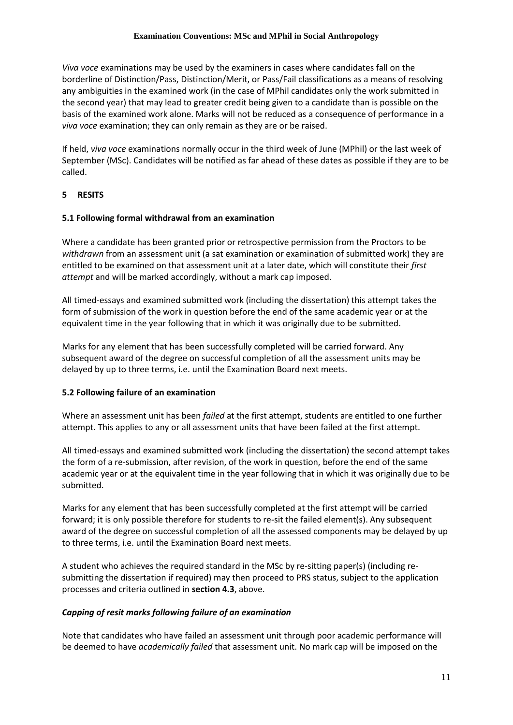*Viva voce* examinations may be used by the examiners in cases where candidates fall on the borderline of Distinction/Pass, Distinction/Merit, or Pass/Fail classifications as a means of resolving any ambiguities in the examined work (in the case of MPhil candidates only the work submitted in the second year) that may lead to greater credit being given to a candidate than is possible on the basis of the examined work alone. Marks will not be reduced as a consequence of performance in a *viva voce* examination; they can only remain as they are or be raised.

If held, *viva voce* examinations normally occur in the third week of June (MPhil) or the last week of September (MSc). Candidates will be notified as far ahead of these dates as possible if they are to be called.

#### **5 RESITS**

#### **5.1 Following formal withdrawal from an examination**

Where a candidate has been granted prior or retrospective permission from the Proctors to be *withdrawn* from an assessment unit (a sat examination or examination of submitted work) they are entitled to be examined on that assessment unit at a later date, which will constitute their *first attempt* and will be marked accordingly, without a mark cap imposed.

All timed-essays and examined submitted work (including the dissertation) this attempt takes the form of submission of the work in question before the end of the same academic year or at the equivalent time in the year following that in which it was originally due to be submitted.

Marks for any element that has been successfully completed will be carried forward. Any subsequent award of the degree on successful completion of all the assessment units may be delayed by up to three terms, i.e. until the Examination Board next meets.

#### **5.2 Following failure of an examination**

Where an assessment unit has been *failed* at the first attempt, students are entitled to one further attempt. This applies to any or all assessment units that have been failed at the first attempt.

All timed-essays and examined submitted work (including the dissertation) the second attempt takes the form of a re-submission, after revision, of the work in question, before the end of the same academic year or at the equivalent time in the year following that in which it was originally due to be submitted.

Marks for any element that has been successfully completed at the first attempt will be carried forward; it is only possible therefore for students to re-sit the failed element(s). Any subsequent award of the degree on successful completion of all the assessed components may be delayed by up to three terms, i.e. until the Examination Board next meets.

A student who achieves the required standard in the MSc by re-sitting paper(s) (including resubmitting the dissertation if required) may then proceed to PRS status, subject to the application processes and criteria outlined in **section 4.3**, above.

#### *Capping of resit marks following failure of an examination*

Note that candidates who have failed an assessment unit through poor academic performance will be deemed to have *academically failed* that assessment unit. No mark cap will be imposed on the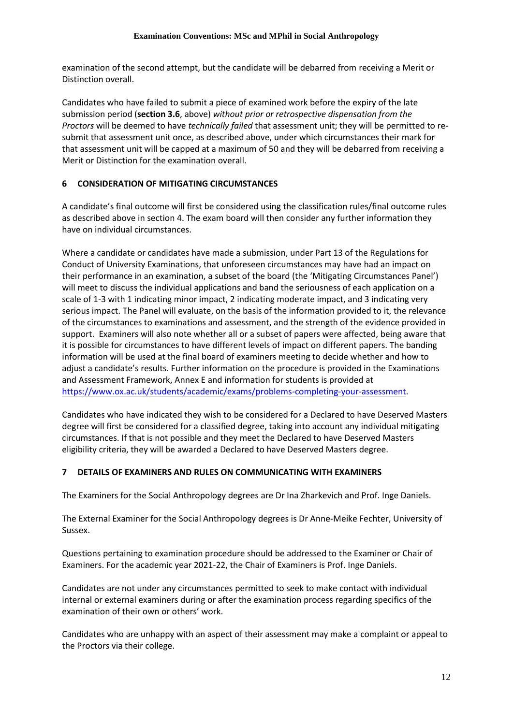examination of the second attempt, but the candidate will be debarred from receiving a Merit or Distinction overall.

Candidates who have failed to submit a piece of examined work before the expiry of the late submission period (**section 3.6**, above) *without prior or retrospective dispensation from the Proctors* will be deemed to have *technically failed* that assessment unit; they will be permitted to resubmit that assessment unit once, as described above, under which circumstances their mark for that assessment unit will be capped at a maximum of 50 and they will be debarred from receiving a Merit or Distinction for the examination overall.

# **6 CONSIDERATION OF MITIGATING CIRCUMSTANCES**

A candidate's final outcome will first be considered using the classification rules/final outcome rules as described above in section 4. The exam board will then consider any further information they have on individual circumstances.

Where a candidate or candidates have made a submission, under Part 13 of the Regulations for Conduct of University Examinations, that unforeseen circumstances may have had an impact on their performance in an examination, a subset of the board (the 'Mitigating Circumstances Panel') will meet to discuss the individual applications and band the seriousness of each application on a scale of 1-3 with 1 indicating minor impact, 2 indicating moderate impact, and 3 indicating very serious impact. The Panel will evaluate, on the basis of the information provided to it, the relevance of the circumstances to examinations and assessment, and the strength of the evidence provided in support. Examiners will also note whether all or a subset of papers were affected, being aware that it is possible for circumstances to have different levels of impact on different papers. The banding information will be used at the final board of examiners meeting to decide whether and how to adjust a candidate's results. Further information on the procedure is provided in the Examinations and Assessment Framework, Annex E and information for students is provided at [https://www.ox.ac.uk/students/academic/exams/problems-completing-your-assessment.](https://www.ox.ac.uk/students/academic/exams/problems-completing-your-assessment)

Candidates who have indicated they wish to be considered for a Declared to have Deserved Masters degree will first be considered for a classified degree, taking into account any individual mitigating circumstances. If that is not possible and they meet the Declared to have Deserved Masters eligibility criteria, they will be awarded a Declared to have Deserved Masters degree.

## **7 DETAILS OF EXAMINERS AND RULES ON COMMUNICATING WITH EXAMINERS**

The Examiners for the Social Anthropology degrees are Dr Ina Zharkevich and Prof. Inge Daniels.

The External Examiner for the Social Anthropology degrees is Dr Anne-Meike Fechter, University of Sussex.

Questions pertaining to examination procedure should be addressed to the Examiner or Chair of Examiners. For the academic year 2021-22, the Chair of Examiners is Prof. Inge Daniels.

Candidates are not under any circumstances permitted to seek to make contact with individual internal or external examiners during or after the examination process regarding specifics of the examination of their own or others' work.

Candidates who are unhappy with an aspect of their assessment may make a complaint or appeal to the Proctors via their college.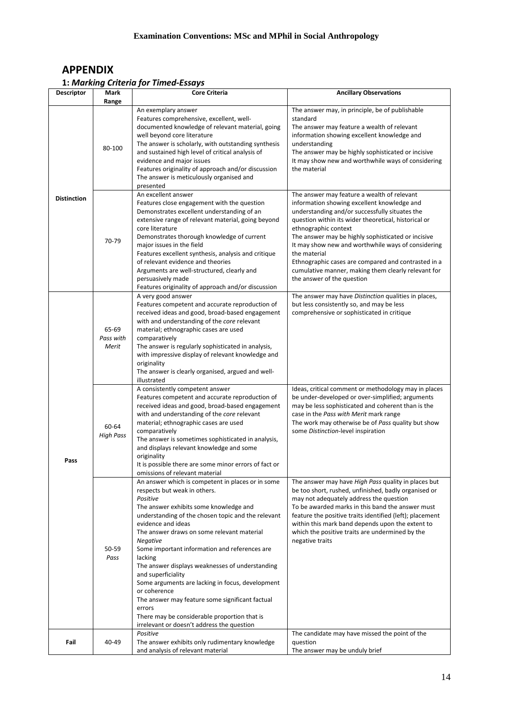# **APPENDIX**

# **1:** *Marking Criteria for Timed-Essays*

| <b>Descriptor</b>  | Mark<br>Range               | Core Criteria                                                                                                                                                                                                                                                                                                                                                                                                                                                                                                                                                                                                                                     | <b>Ancillary Observations</b>                                                                                                                                                                                                                                                                                                                                                                          |
|--------------------|-----------------------------|---------------------------------------------------------------------------------------------------------------------------------------------------------------------------------------------------------------------------------------------------------------------------------------------------------------------------------------------------------------------------------------------------------------------------------------------------------------------------------------------------------------------------------------------------------------------------------------------------------------------------------------------------|--------------------------------------------------------------------------------------------------------------------------------------------------------------------------------------------------------------------------------------------------------------------------------------------------------------------------------------------------------------------------------------------------------|
| <b>Distinction</b> | 80-100                      | An exemplary answer<br>Features comprehensive, excellent, well-<br>documented knowledge of relevant material, going<br>well beyond core literature<br>The answer is scholarly, with outstanding synthesis<br>and sustained high level of critical analysis of<br>evidence and major issues<br>Features originality of approach and/or discussion<br>The answer is meticulously organised and<br>presented<br>An excellent answer<br>Features close engagement with the question                                                                                                                                                                   | The answer may, in principle, be of publishable<br>standard<br>The answer may feature a wealth of relevant<br>information showing excellent knowledge and<br>understanding<br>The answer may be highly sophisticated or incisive<br>It may show new and worthwhile ways of considering<br>the material<br>The answer may feature a wealth of relevant<br>information showing excellent knowledge and   |
|                    | 70-79                       | Demonstrates excellent understanding of an<br>extensive range of relevant material, going beyond<br>core literature<br>Demonstrates thorough knowledge of current<br>major issues in the field<br>Features excellent synthesis, analysis and critique<br>of relevant evidence and theories<br>Arguments are well-structured, clearly and<br>persuasively made<br>Features originality of approach and/or discussion                                                                                                                                                                                                                               | understanding and/or successfully situates the<br>question within its wider theoretical, historical or<br>ethnographic context<br>The answer may be highly sophisticated or incisive<br>It may show new and worthwhile ways of considering<br>the material<br>Ethnographic cases are compared and contrasted in a<br>cumulative manner, making them clearly relevant for<br>the answer of the question |
| Pass               | 65-69<br>Pass with<br>Merit | A very good answer<br>Features competent and accurate reproduction of<br>received ideas and good, broad-based engagement<br>with and understanding of the core relevant<br>material; ethnographic cases are used<br>comparatively<br>The answer is regularly sophisticated in analysis,<br>with impressive display of relevant knowledge and<br>originality<br>The answer is clearly organised, argued and well-<br>illustrated                                                                                                                                                                                                                   | The answer may have Distinction qualities in places,<br>but less consistently so, and may be less<br>comprehensive or sophisticated in critique                                                                                                                                                                                                                                                        |
|                    | 60-64<br><b>High Pass</b>   | A consistently competent answer<br>Features competent and accurate reproduction of<br>received ideas and good, broad-based engagement<br>with and understanding of the core relevant<br>material; ethnographic cases are used<br>comparatively<br>The answer is sometimes sophisticated in analysis,<br>and displays relevant knowledge and some<br>originality<br>It is possible there are some minor errors of fact or<br>omissions of relevant material                                                                                                                                                                                        | Ideas, critical comment or methodology may in places<br>be under-developed or over-simplified; arguments<br>may be less sophisticated and coherent than is the<br>case in the Pass with Merit mark range<br>The work may otherwise be of Pass quality but show<br>some Distinction-level inspiration                                                                                                   |
|                    | 50-59<br>Pass               | An answer which is competent in places or in some<br>respects but weak in others.<br>Positive<br>The answer exhibits some knowledge and<br>understanding of the chosen topic and the relevant<br>evidence and ideas<br>The answer draws on some relevant material<br>Negative<br>Some important information and references are<br>lacking<br>The answer displays weaknesses of understanding<br>and superficiality<br>Some arguments are lacking in focus, development<br>or coherence<br>The answer may feature some significant factual<br>errors<br>There may be considerable proportion that is<br>irrelevant or doesn't address the question | The answer may have High Pass quality in places but<br>be too short, rushed, unfinished, badly organised or<br>may not adequately address the question<br>To be awarded marks in this band the answer must<br>feature the positive traits identified (left); placement<br>within this mark band depends upon the extent to<br>which the positive traits are undermined by the<br>negative traits       |
| Fail               | 40-49                       | Positive<br>The answer exhibits only rudimentary knowledge<br>and analysis of relevant material                                                                                                                                                                                                                                                                                                                                                                                                                                                                                                                                                   | The candidate may have missed the point of the<br>question<br>The answer may be unduly brief                                                                                                                                                                                                                                                                                                           |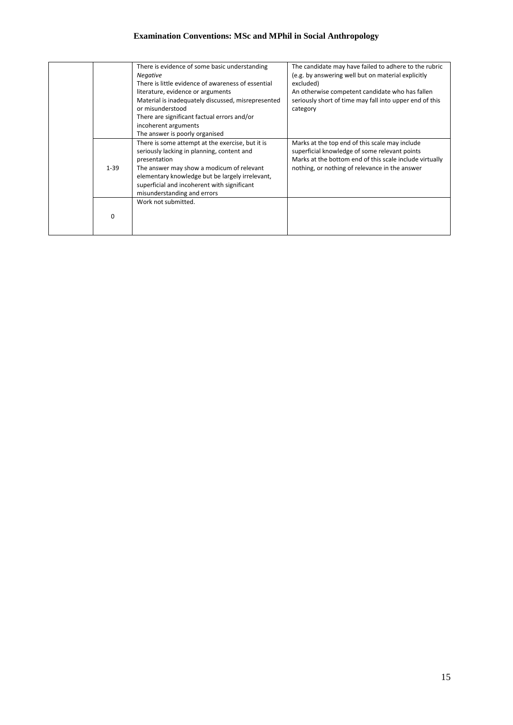# **Examination Conventions: MSc and MPhil in Social Anthropology**

|          | There is evidence of some basic understanding<br><b>Negative</b><br>There is little evidence of awareness of essential<br>literature, evidence or arguments<br>Material is inadequately discussed, misrepresented<br>or misunderstood<br>There are significant factual errors and/or<br>incoherent arguments | The candidate may have failed to adhere to the rubric<br>(e.g. by answering well but on material explicitly<br>excluded)<br>An otherwise competent candidate who has fallen<br>seriously short of time may fall into upper end of this<br>category |
|----------|--------------------------------------------------------------------------------------------------------------------------------------------------------------------------------------------------------------------------------------------------------------------------------------------------------------|----------------------------------------------------------------------------------------------------------------------------------------------------------------------------------------------------------------------------------------------------|
|          | The answer is poorly organised                                                                                                                                                                                                                                                                               |                                                                                                                                                                                                                                                    |
| $1 - 39$ | There is some attempt at the exercise, but it is<br>seriously lacking in planning, content and<br>presentation<br>The answer may show a modicum of relevant<br>elementary knowledge but be largely irrelevant,<br>superficial and incoherent with significant<br>misunderstanding and errors                 | Marks at the top end of this scale may include<br>superficial knowledge of some relevant points<br>Marks at the bottom end of this scale include virtually<br>nothing, or nothing of relevance in the answer                                       |
|          | Work not submitted.                                                                                                                                                                                                                                                                                          |                                                                                                                                                                                                                                                    |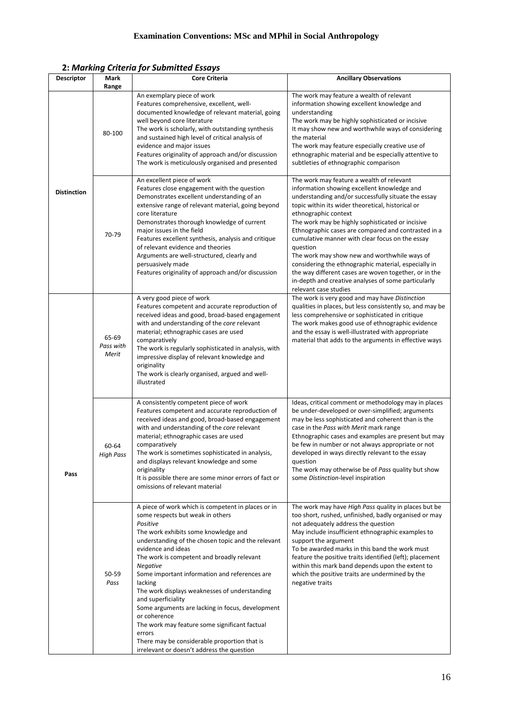**2:** *Marking Criteria for Submitted Essays*

| Descriptor         | Mark<br>Range               | <b>Core Criteria</b>                                                                                                                                                                                                                                                                                                                                                                                                                                                                                                                                                                                                                                    | <b>Ancillary Observations</b>                                                                                                                                                                                                                                                                                                                                                                                                                                                                                                                                                                                                                           |
|--------------------|-----------------------------|---------------------------------------------------------------------------------------------------------------------------------------------------------------------------------------------------------------------------------------------------------------------------------------------------------------------------------------------------------------------------------------------------------------------------------------------------------------------------------------------------------------------------------------------------------------------------------------------------------------------------------------------------------|---------------------------------------------------------------------------------------------------------------------------------------------------------------------------------------------------------------------------------------------------------------------------------------------------------------------------------------------------------------------------------------------------------------------------------------------------------------------------------------------------------------------------------------------------------------------------------------------------------------------------------------------------------|
| <b>Distinction</b> | 80-100                      | An exemplary piece of work<br>Features comprehensive, excellent, well-<br>documented knowledge of relevant material, going<br>well beyond core literature<br>The work is scholarly, with outstanding synthesis<br>and sustained high level of critical analysis of<br>evidence and major issues<br>Features originality of approach and/or discussion<br>The work is meticulously organised and presented                                                                                                                                                                                                                                               | The work may feature a wealth of relevant<br>information showing excellent knowledge and<br>understanding<br>The work may be highly sophisticated or incisive<br>It may show new and worthwhile ways of considering<br>the material<br>The work may feature especially creative use of<br>ethnographic material and be especially attentive to<br>subtleties of ethnographic comparison                                                                                                                                                                                                                                                                 |
|                    | 70-79                       | An excellent piece of work<br>Features close engagement with the question<br>Demonstrates excellent understanding of an<br>extensive range of relevant material, going beyond<br>core literature<br>Demonstrates thorough knowledge of current<br>major issues in the field<br>Features excellent synthesis, analysis and critique<br>of relevant evidence and theories<br>Arguments are well-structured, clearly and<br>persuasively made<br>Features originality of approach and/or discussion                                                                                                                                                        | The work may feature a wealth of relevant<br>information showing excellent knowledge and<br>understanding and/or successfully situate the essay<br>topic within its wider theoretical, historical or<br>ethnographic context<br>The work may be highly sophisticated or incisive<br>Ethnographic cases are compared and contrasted in a<br>cumulative manner with clear focus on the essay<br>question<br>The work may show new and worthwhile ways of<br>considering the ethnographic material, especially in<br>the way different cases are woven together, or in the<br>in-depth and creative analyses of some particularly<br>relevant case studies |
| Pass               | 65-69<br>Pass with<br>Merit | A very good piece of work<br>Features competent and accurate reproduction of<br>received ideas and good, broad-based engagement<br>with and understanding of the core relevant<br>material; ethnographic cases are used<br>comparatively<br>The work is regularly sophisticated in analysis, with<br>impressive display of relevant knowledge and<br>originality<br>The work is clearly organised, argued and well-<br>illustrated                                                                                                                                                                                                                      | The work is very good and may have Distinction<br>qualities in places, but less consistently so, and may be<br>less comprehensive or sophisticated in critique<br>The work makes good use of ethnographic evidence<br>and the essay is well-illustrated with appropriate<br>material that adds to the arguments in effective ways                                                                                                                                                                                                                                                                                                                       |
|                    | 60-64<br><b>High Pass</b>   | A consistently competent piece of work<br>Features competent and accurate reproduction of<br>received ideas and good, broad-based engagement<br>with and understanding of the core relevant<br>material; ethnographic cases are used<br>comparatively<br>The work is sometimes sophisticated in analysis,<br>and displays relevant knowledge and some<br>originality<br>It is possible there are some minor errors of fact or<br>omissions of relevant material                                                                                                                                                                                         | Ideas, critical comment or methodology may in places<br>be under-developed or over-simplified; arguments<br>may be less sophisticated and coherent than is the<br>case in the Pass with Merit mark range<br>Ethnographic cases and examples are present but may<br>be few in number or not always appropriate or not<br>developed in ways directly relevant to the essay<br>question<br>The work may otherwise be of Pass quality but show<br>some Distinction-level inspiration                                                                                                                                                                        |
|                    | 50-59<br>Pass               | A piece of work which is competent in places or in<br>some respects but weak in others<br>Positive<br>The work exhibits some knowledge and<br>understanding of the chosen topic and the relevant<br>evidence and ideas<br>The work is competent and broadly relevant<br><b>Negative</b><br>Some important information and references are<br>lacking<br>The work displays weaknesses of understanding<br>and superficiality<br>Some arguments are lacking in focus, development<br>or coherence<br>The work may feature some significant factual<br>errors<br>There may be considerable proportion that is<br>irrelevant or doesn't address the question | The work may have High Pass quality in places but be<br>too short, rushed, unfinished, badly organised or may<br>not adequately address the question<br>May include insufficient ethnographic examples to<br>support the argument<br>To be awarded marks in this band the work must<br>feature the positive traits identified (left); placement<br>within this mark band depends upon the extent to<br>which the positive traits are undermined by the<br>negative traits                                                                                                                                                                               |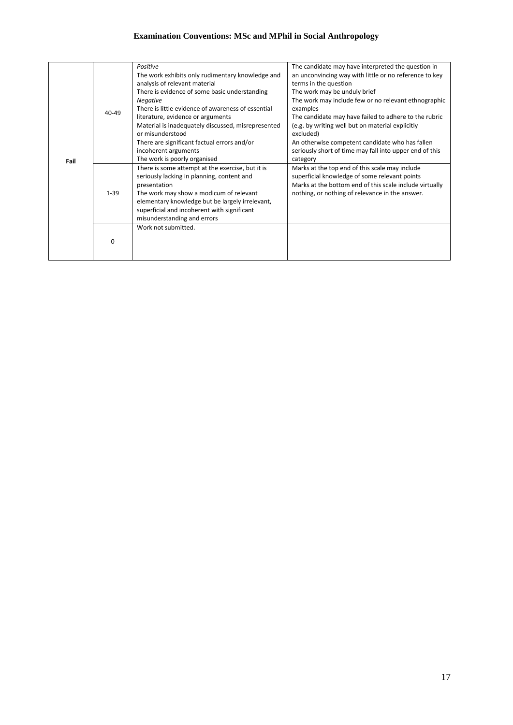# **Examination Conventions: MSc and MPhil in Social Anthropology**

| Fail | $40 - 49$ | Positive<br>The work exhibits only rudimentary knowledge and<br>analysis of relevant material<br>There is evidence of some basic understanding<br><b>Negative</b><br>There is little evidence of awareness of essential<br>literature, evidence or arguments<br>Material is inadequately discussed, misrepresented<br>or misunderstood<br>There are significant factual errors and/or<br>incoherent arguments<br>The work is poorly organised | The candidate may have interpreted the question in<br>an unconvincing way with little or no reference to key<br>terms in the question<br>The work may be unduly brief<br>The work may include few or no relevant ethnographic<br>examples<br>The candidate may have failed to adhere to the rubric<br>(e.g. by writing well but on material explicitly<br>excluded)<br>An otherwise competent candidate who has fallen<br>seriously short of time may fall into upper end of this<br>category |
|------|-----------|-----------------------------------------------------------------------------------------------------------------------------------------------------------------------------------------------------------------------------------------------------------------------------------------------------------------------------------------------------------------------------------------------------------------------------------------------|-----------------------------------------------------------------------------------------------------------------------------------------------------------------------------------------------------------------------------------------------------------------------------------------------------------------------------------------------------------------------------------------------------------------------------------------------------------------------------------------------|
|      | $1 - 39$  | There is some attempt at the exercise, but it is<br>seriously lacking in planning, content and<br>presentation<br>The work may show a modicum of relevant<br>elementary knowledge but be largely irrelevant,<br>superficial and incoherent with significant<br>misunderstanding and errors<br>Work not submitted.                                                                                                                             | Marks at the top end of this scale may include<br>superficial knowledge of some relevant points<br>Marks at the bottom end of this scale include virtually<br>nothing, or nothing of relevance in the answer.                                                                                                                                                                                                                                                                                 |
|      | $\Omega$  |                                                                                                                                                                                                                                                                                                                                                                                                                                               |                                                                                                                                                                                                                                                                                                                                                                                                                                                                                               |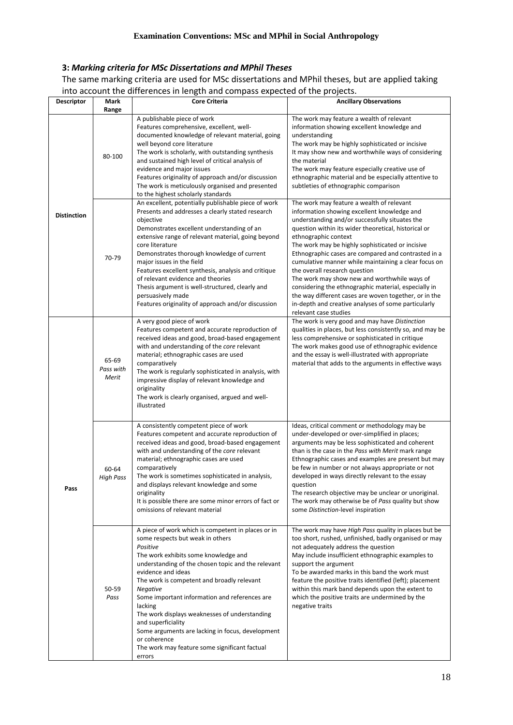# **3:** *Marking criteria for MSc Dissertations and MPhil Theses*

The same marking criteria are used for MSc dissertations and MPhil theses, but are applied taking into account the differences in length and compass expected of the projects.

|                    |                             | into account the unierences in ierigur and compass expected or the projects.                                                                                                                                                                                                                                                                                                                                                                                                                                                                       |                                                                                                                                                                                                                                                                                                                                                                                                                                                                                                                                                                                                                                                                                 |
|--------------------|-----------------------------|----------------------------------------------------------------------------------------------------------------------------------------------------------------------------------------------------------------------------------------------------------------------------------------------------------------------------------------------------------------------------------------------------------------------------------------------------------------------------------------------------------------------------------------------------|---------------------------------------------------------------------------------------------------------------------------------------------------------------------------------------------------------------------------------------------------------------------------------------------------------------------------------------------------------------------------------------------------------------------------------------------------------------------------------------------------------------------------------------------------------------------------------------------------------------------------------------------------------------------------------|
| <b>Descriptor</b>  | Mark<br>Range               | <b>Core Criteria</b>                                                                                                                                                                                                                                                                                                                                                                                                                                                                                                                               | <b>Ancillary Observations</b>                                                                                                                                                                                                                                                                                                                                                                                                                                                                                                                                                                                                                                                   |
|                    | 80-100                      | A publishable piece of work<br>Features comprehensive, excellent, well-<br>documented knowledge of relevant material, going<br>well beyond core literature<br>The work is scholarly, with outstanding synthesis<br>and sustained high level of critical analysis of<br>evidence and major issues<br>Features originality of approach and/or discussion<br>The work is meticulously organised and presented<br>to the highest scholarly standards                                                                                                   | The work may feature a wealth of relevant<br>information showing excellent knowledge and<br>understanding<br>The work may be highly sophisticated or incisive<br>It may show new and worthwhile ways of considering<br>the material<br>The work may feature especially creative use of<br>ethnographic material and be especially attentive to<br>subtleties of ethnographic comparison                                                                                                                                                                                                                                                                                         |
| <b>Distinction</b> | 70-79                       | An excellent, potentially publishable piece of work<br>Presents and addresses a clearly stated research<br>objective<br>Demonstrates excellent understanding of an<br>extensive range of relevant material, going beyond<br>core literature<br>Demonstrates thorough knowledge of current<br>major issues in the field<br>Features excellent synthesis, analysis and critique<br>of relevant evidence and theories<br>Thesis argument is well-structured, clearly and<br>persuasively made<br>Features originality of approach and/or discussion   | The work may feature a wealth of relevant<br>information showing excellent knowledge and<br>understanding and/or successfully situates the<br>question within its wider theoretical, historical or<br>ethnographic context<br>The work may be highly sophisticated or incisive<br>Ethnographic cases are compared and contrasted in a<br>cumulative manner while maintaining a clear focus on<br>the overall research question<br>The work may show new and worthwhile ways of<br>considering the ethnographic material, especially in<br>the way different cases are woven together, or in the<br>in-depth and creative analyses of some particularly<br>relevant case studies |
|                    | 65-69<br>Pass with<br>Merit | A very good piece of work<br>Features competent and accurate reproduction of<br>received ideas and good, broad-based engagement<br>with and understanding of the core relevant<br>material; ethnographic cases are used<br>comparatively<br>The work is regularly sophisticated in analysis, with<br>impressive display of relevant knowledge and<br>originality<br>The work is clearly organised, argued and well-<br>illustrated                                                                                                                 | The work is very good and may have Distinction<br>qualities in places, but less consistently so, and may be<br>less comprehensive or sophisticated in critique<br>The work makes good use of ethnographic evidence<br>and the essay is well-illustrated with appropriate<br>material that adds to the arguments in effective ways                                                                                                                                                                                                                                                                                                                                               |
| Pass               | 60-64<br><b>High Pass</b>   | A consistently competent piece of work<br>Features competent and accurate reproduction of<br>received ideas and good, broad-based engagement<br>with and understanding of the core relevant<br>material; ethnographic cases are used<br>comparatively<br>The work is sometimes sophisticated in analysis,<br>and displays relevant knowledge and some<br>originality<br>It is possible there are some minor errors of fact or<br>omissions of relevant material                                                                                    | Ideas, critical comment or methodology may be<br>under-developed or over-simplified in places;<br>arguments may be less sophisticated and coherent<br>than is the case in the Pass with Merit mark range<br>Ethnographic cases and examples are present but may<br>be few in number or not always appropriate or not<br>developed in ways directly relevant to the essay<br>question<br>The research objective may be unclear or unoriginal.<br>The work may otherwise be of Pass quality but show<br>some Distinction-level inspiration                                                                                                                                        |
|                    | 50-59<br>Pass               | A piece of work which is competent in places or in<br>some respects but weak in others<br>Positive<br>The work exhibits some knowledge and<br>understanding of the chosen topic and the relevant<br>evidence and ideas<br>The work is competent and broadly relevant<br>Negative<br>Some important information and references are<br>lacking<br>The work displays weaknesses of understanding<br>and superficiality<br>Some arguments are lacking in focus, development<br>or coherence<br>The work may feature some significant factual<br>errors | The work may have High Pass quality in places but be<br>too short, rushed, unfinished, badly organised or may<br>not adequately address the question<br>May include insufficient ethnographic examples to<br>support the argument<br>To be awarded marks in this band the work must<br>feature the positive traits identified (left); placement<br>within this mark band depends upon the extent to<br>which the positive traits are undermined by the<br>negative traits                                                                                                                                                                                                       |